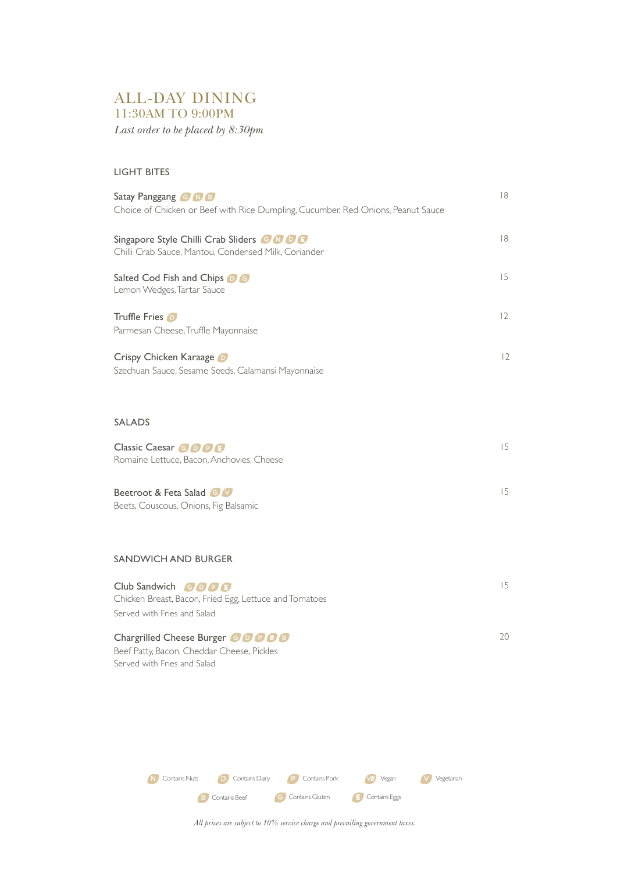# ALL-DAY DINING 11:30AM TO 9:00PM

*Last order to be placed by 8:30pm*

### LIGHT BITES

| Satay Panggang <b>G N B</b><br>Choice of Chicken or Beef with Rice Dumpling, Cucumber, Red Onions, Peanut Sauce | 8  |
|-----------------------------------------------------------------------------------------------------------------|----|
| Singapore Style Chilli Crab Sliders <b>G N D B</b><br>Chilli Crab Sauce, Mantou, Condensed Milk, Coriander      | 8  |
| Salted Cod Fish and Chips OG<br>Lemon Wedges, Tartar Sauce                                                      | 15 |
| Truffle Fries D<br>Parmesan Cheese, Truffle Mayonnaise                                                          | 2  |
| Crispy Chicken Karaage<br>Szechuan Sauce, Sesame Seeds, Calamansi Mayonnaise                                    | 2  |
| <b>SALADS</b>                                                                                                   |    |
| Classic Caesar <b>GODB</b><br>Romaine Lettuce, Bacon, Anchovies, Cheese                                         | 15 |
| Beetroot & Feta Salad G V<br>Beets, Couscous, Onions, Fig Balsamic                                              | 15 |
| <b>SANDWICH AND BURGER</b>                                                                                      |    |

| Club Sandwich $\bigcirc$ $\bigcirc$ $\bigcirc$ $\bigcirc$ $\bigcirc$<br>Chicken Breast, Bacon, Fried Egg, Lettuce and Tomatoes |    |
|--------------------------------------------------------------------------------------------------------------------------------|----|
| Served with Fries and Salad                                                                                                    |    |
| Chargrilled Cheese Burger <b>CODDE</b>                                                                                         | 20 |
| Beef Patty, Bacon, Cheddar Cheese, Pickles                                                                                     |    |

Served with Fries and Salad



*All prices are subject to 10% service charge and prevailing government taxes.*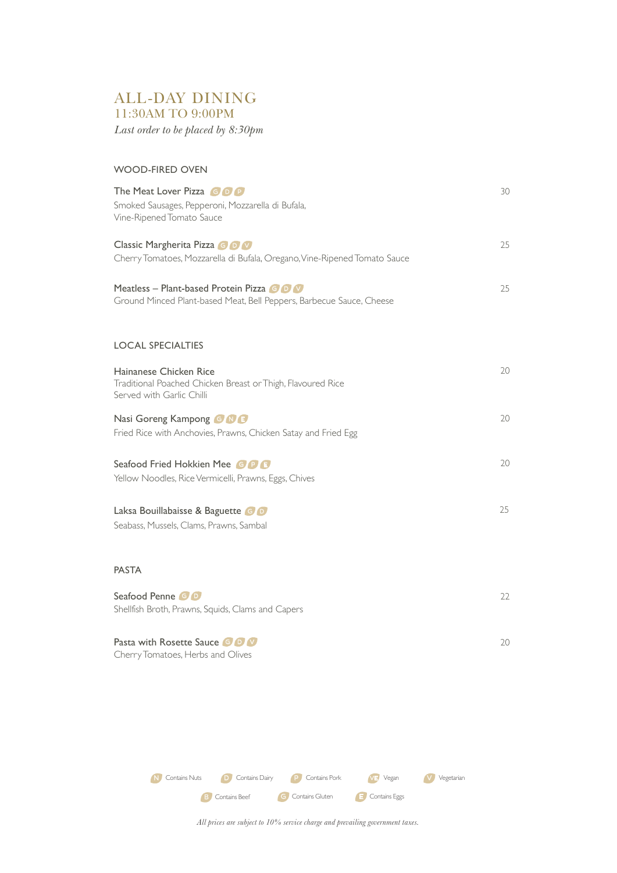## ALL-DAY DINING 11:30AM TO 9:00PM

*Last order to be placed by 8:30pm*

# WOOD-FIRED OVEN

| The Meat Lover Pizza GOO                                                                                           | 30 |
|--------------------------------------------------------------------------------------------------------------------|----|
| Smoked Sausages, Pepperoni, Mozzarella di Bufala,<br>Vine-Ripened Tomato Sauce                                     |    |
| Classic Margherita Pizza & O<br>Cherry Tomatoes, Mozzarella di Bufala, Oregano, Vine-Ripened Tomato Sauce          | 25 |
|                                                                                                                    |    |
| Meatless – Plant-based Protein Pizza G D M<br>Ground Minced Plant-based Meat, Bell Peppers, Barbecue Sauce, Cheese | 25 |
|                                                                                                                    |    |
| <b>LOCAL SPECIALTIES</b>                                                                                           |    |
| Hainanese Chicken Rice<br>Traditional Poached Chicken Breast or Thigh, Flavoured Rice                              | 20 |
| Served with Garlic Chilli                                                                                          |    |
| Nasi Goreng Kampong G NG<br>Fried Rice with Anchovies, Prawns, Chicken Satay and Fried Egg                         | 20 |
|                                                                                                                    | 20 |
| Seafood Fried Hokkien Mee GDB<br>Yellow Noodles, Rice Vermicelli, Prawns, Eggs, Chives                             |    |
|                                                                                                                    | 25 |
| Laksa Bouillabaisse & Baguette G D<br>Seabass, Mussels, Clams, Prawns, Sambal                                      |    |
|                                                                                                                    |    |
| <b>PASTA</b>                                                                                                       |    |
| Seafood Penne GO                                                                                                   | 22 |
| Shellfish Broth, Prawns, Squids, Clams and Capers                                                                  |    |

Cherry Tomatoes, Herbs and Olives Pasta with Rosette Sauce G D V 20



*All prices are subject to 10% service charge and prevailing government taxes.*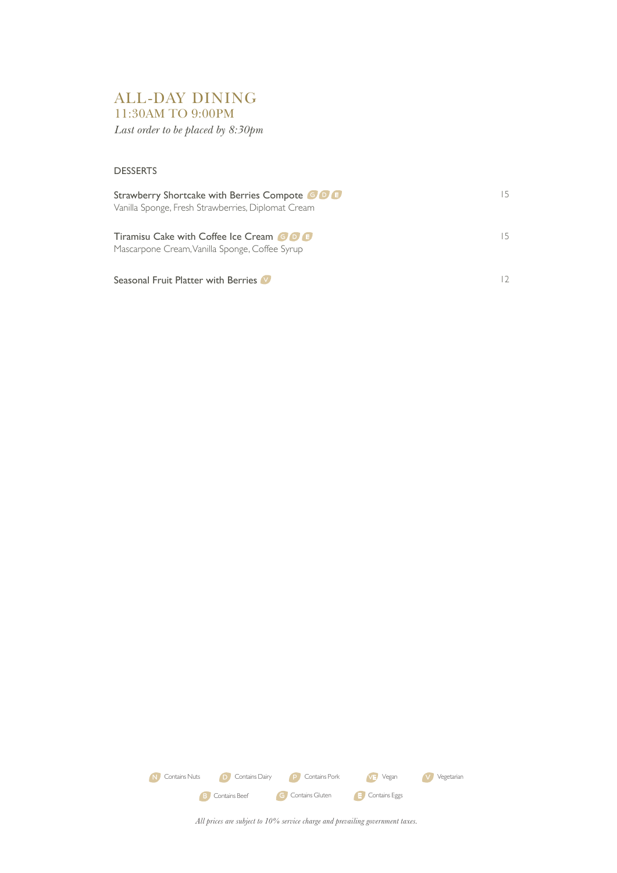# ALL-DAY DINING 11:30AM TO 9:00PM

*Last order to be placed by 8:30pm*

#### DESSERTS

| Strawberry Shortcake with Berries Compote ODE<br>Vanilla Sponge, Fresh Strawberries, Diplomat Cream | 15. |
|-----------------------------------------------------------------------------------------------------|-----|
| <b>Tiramisu Cake with Coffee Ice Cream GDE</b><br>Mascarpone Cream, Vanilla Sponge, Coffee Syrup    | 15. |
| Seasonal Fruit Platter with Berries                                                                 |     |



*All prices are subject to 10% service charge and prevailing government taxes.*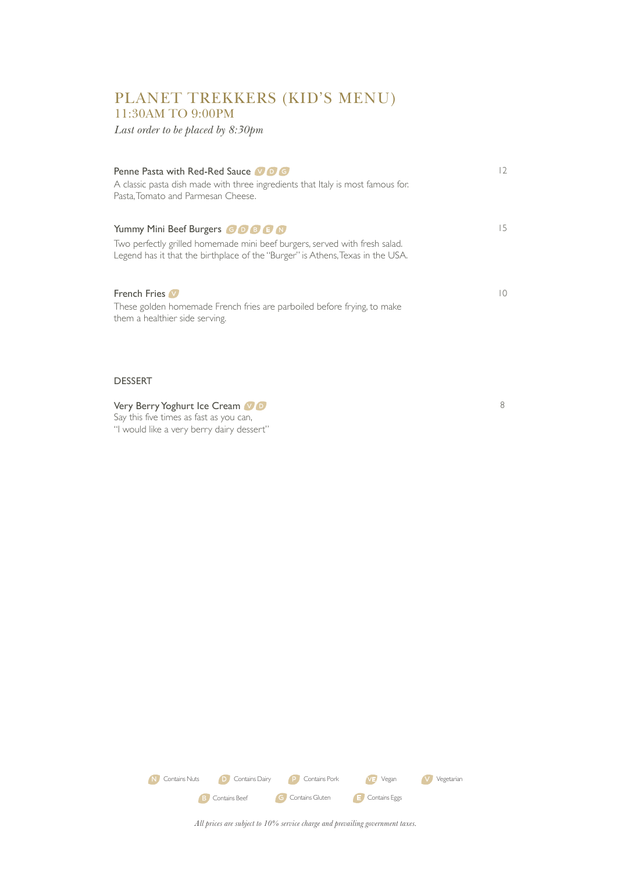## PLANET TREKKERS (KID'S MENU) 11:30AM TO 9:00PM

*Last order to be placed by 8:30pm*

| <b>Penne Pasta with Red-Red Sauce 10 B G</b><br>A classic pasta dish made with three ingredients that Italy is most famous for.<br>Pasta, Tomato and Parmesan Cheese.                               | $\overline{2}$ |
|-----------------------------------------------------------------------------------------------------------------------------------------------------------------------------------------------------|----------------|
| Yummy Mini Beef Burgers <b>GOBB</b><br>Two perfectly grilled homemade mini beef burgers, served with fresh salad.<br>Legend has it that the birthplace of the "Burger" is Athens, Texas in the USA. | 15             |
| <b>French Fries</b><br>These golden homemade French fries are parboiled before frying, to make<br>them a healthier side serving.                                                                    | 10             |

8

#### DESSERT

### Very Berry Yoghurt Ice Cream VO

Say this five times as fast as you can, "I would like a very berry dairy dessert"

> E Contains Eggs N Contains Nuts **D** Contains Dairy **P** Contains Pork **VE** Vegan **V** Vegetarian G Contains Gluten B Contains Beef

*All prices are subject to 10% service charge and prevailing government taxes.*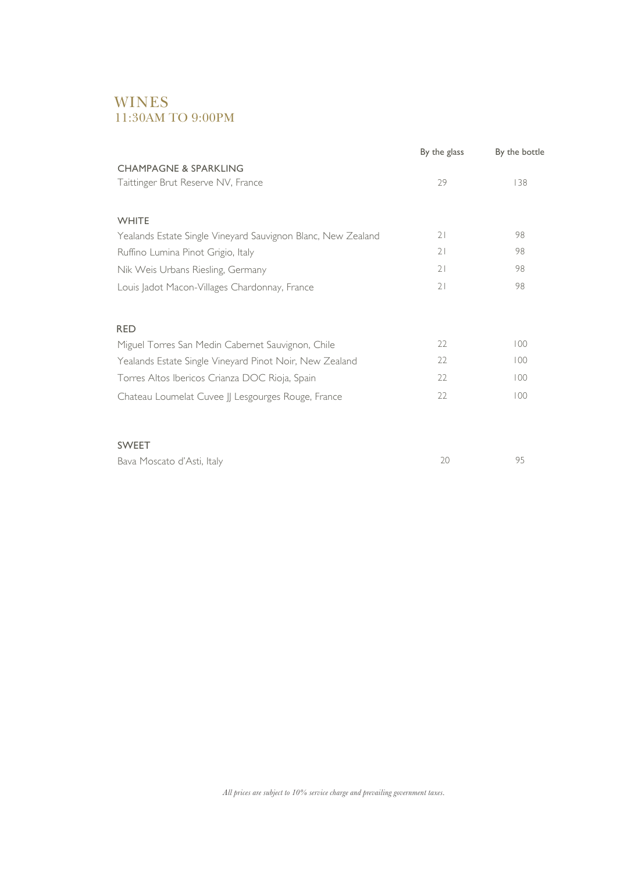## WINES 11:30AM TO 9:00PM

|                                                              | By the glass | By the bottle |
|--------------------------------------------------------------|--------------|---------------|
| <b>CHAMPAGNE &amp; SPARKLING</b>                             |              |               |
| Taittinger Brut Reserve NV, France                           | 29           | 138           |
|                                                              |              |               |
| <b>WHITE</b>                                                 |              |               |
| Yealands Estate Single Vineyard Sauvignon Blanc, New Zealand | 21           | 98            |
| Ruffino Lumina Pinot Grigio, Italy                           | 21           | 98            |
| Nik Weis Urbans Riesling, Germany                            | 21           | 98            |
| Louis Jadot Macon-Villages Chardonnay, France                | 21           | 98            |
|                                                              |              |               |
| <b>RED</b>                                                   |              |               |
| Miguel Torres San Medin Cabernet Sauvignon, Chile            | 22           | 100           |
| Yealands Estate Single Vineyard Pinot Noir, New Zealand      | 22           | 100           |
| Torres Altos Ibericos Crianza DOC Rioja, Spain               | 22           | 100           |
| Chateau Loumelat Cuvee JJ Lesgourges Rouge, France           | 22           | 100           |
|                                                              |              |               |
|                                                              |              |               |
| <b>SWEET</b>                                                 |              |               |

| Bava Moscato d'Asti, Italy |  |
|----------------------------|--|
|----------------------------|--|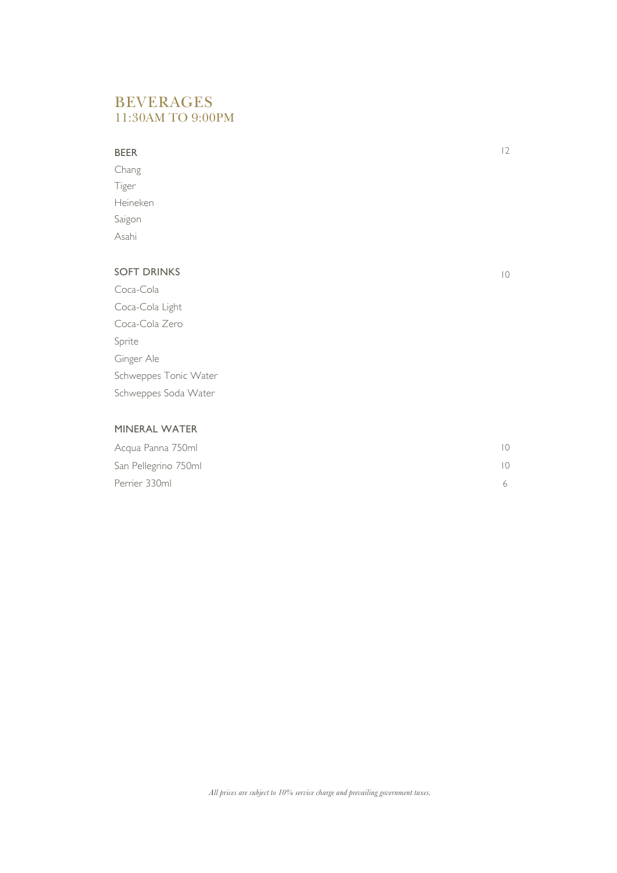## BEVERAGES 11:30AM TO 9:00PM

#### BEER

Chang Tiger Heineken Saigon Asahi

### SOFT DRINKS

Coca-Cola Coca-Cola Light Coca-Cola Zero Sprite Ginger Ale Schweppes Tonic Water Schweppes Soda Water

### MINERAL WATER

| Acqua Panna 750ml    |  |
|----------------------|--|
| San Pellegrino 750ml |  |
| Perrier 330ml        |  |

*All prices are subject to 10% service charge and prevailing government taxes.*

10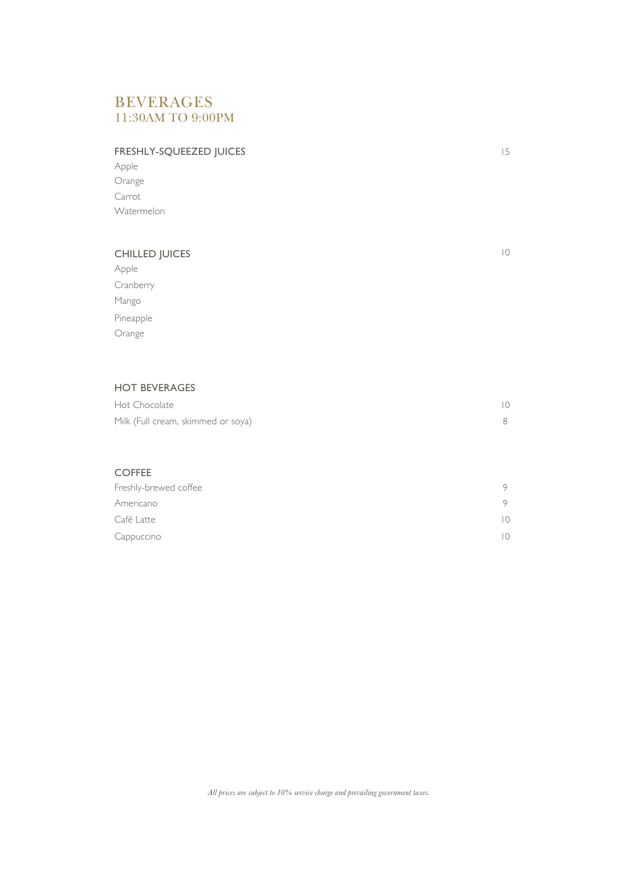## BEVERAGES 11:30AM TO 9:00PM

### FRESHLY-SQUEEZED JUICES

Apple Orange Carrot Watermelon

#### CHILLED JUICES

Apple Cranberry Mango Pineapple Orange

### HOT BEVERAGES

| Hot Chocolate                      |  |
|------------------------------------|--|
| Milk (Full cream, skimmed or soya) |  |

#### COFFEE

| Freshly-brewed coffee |  |
|-----------------------|--|
| Americano             |  |
| Café Latte            |  |
| Cappuccino            |  |

*All prices are subject to 10% service charge and prevailing government taxes.*

10